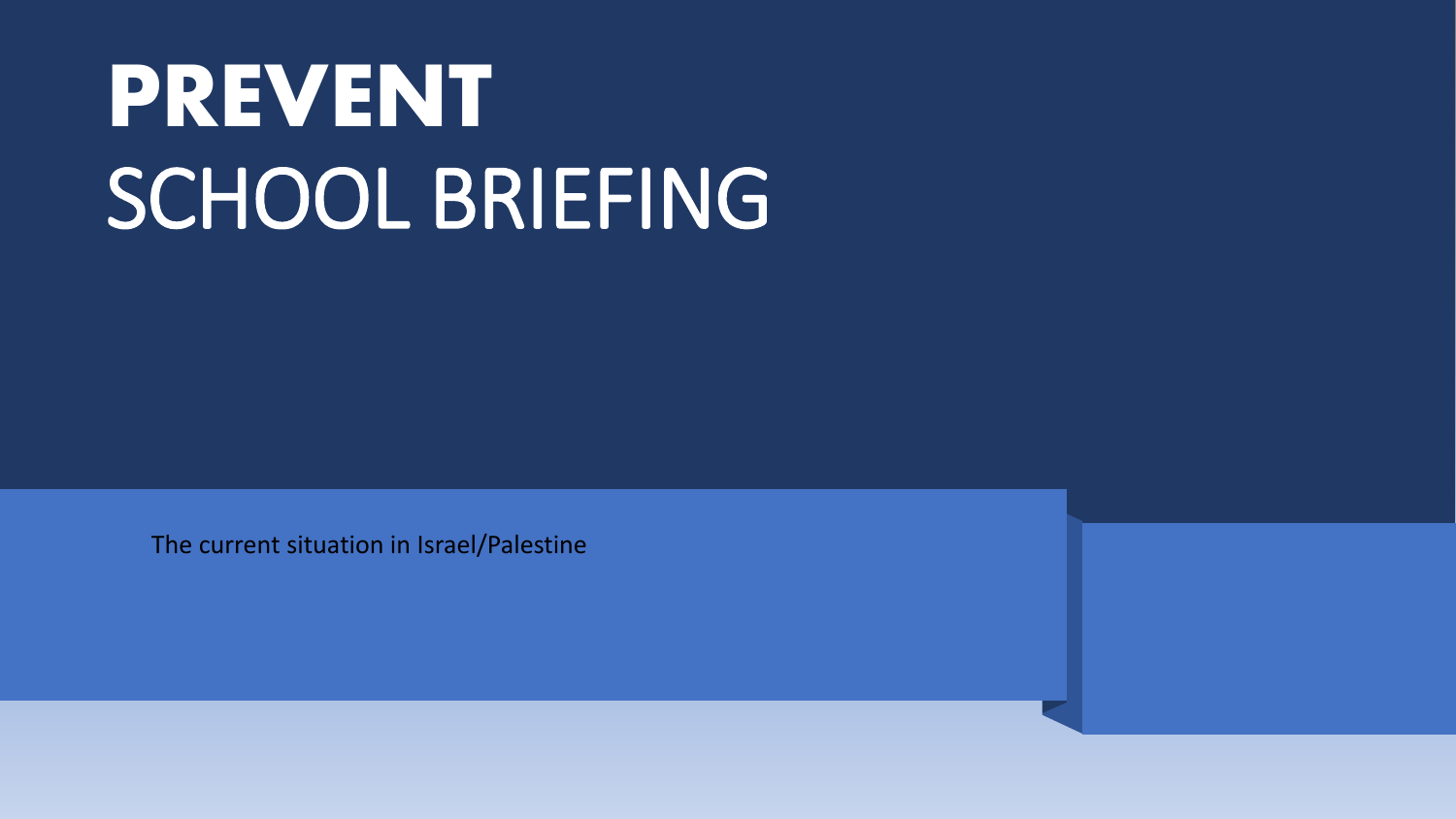# **PREVENT** SCHOOL BRIEFING

The current situation in Israel/Palestine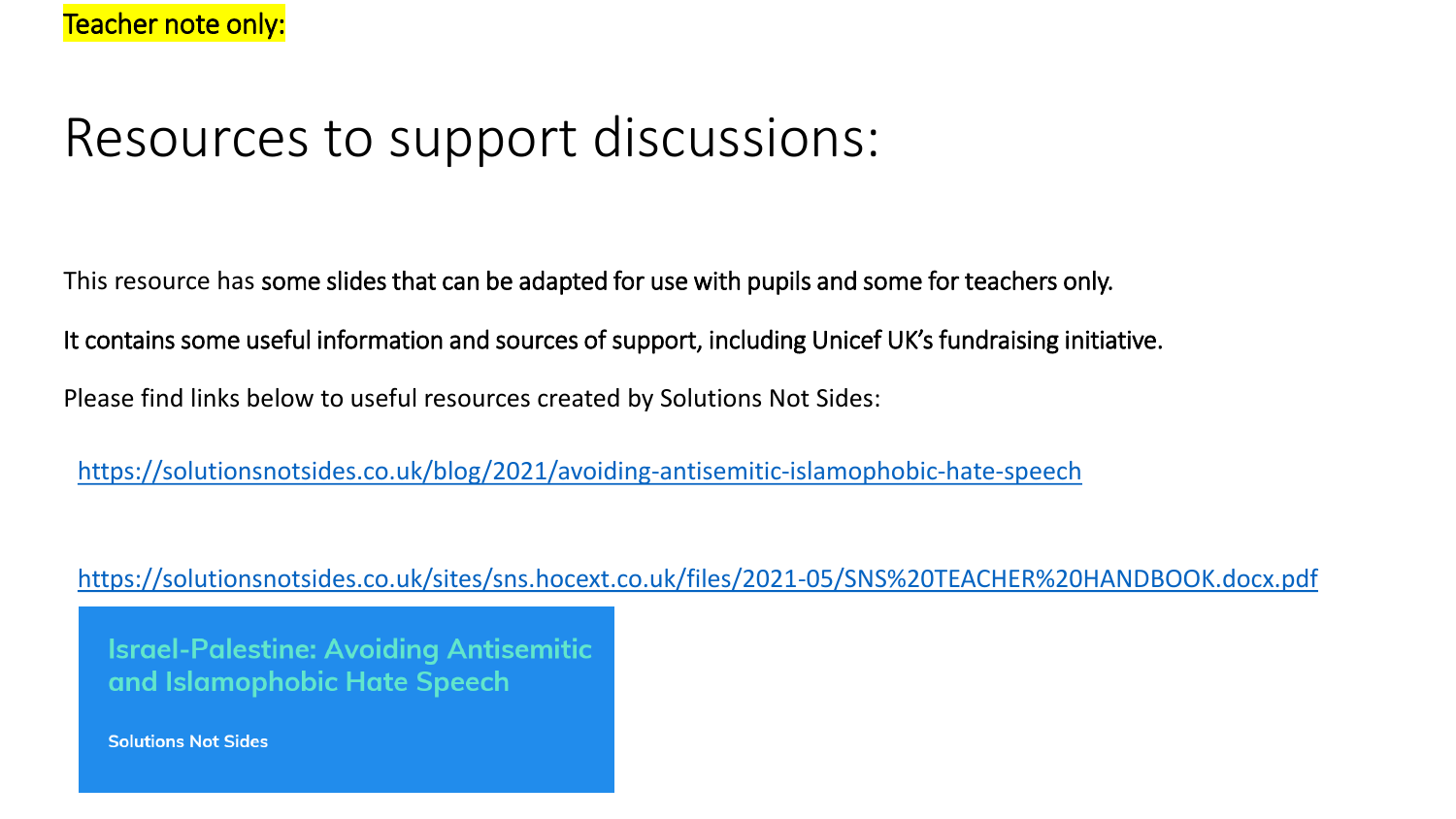# Resources to support discussions:

This resource has some slides that can be adapted for use with pupils and some for teachers only.

It contains some useful information and sources of support, including Unicef UK's fundraising initiative.

Please find links below to useful resources created by Solutions Not Sides:

<https://solutionsnotsides.co.uk/blog/2021/avoiding-antisemitic-islamophobic-hate-speech>

<https://solutionsnotsides.co.uk/sites/sns.hocext.co.uk/files/2021-05/SNS%20TEACHER%20HANDBOOK.docx.pdf>

**Israel-Palestine: Avoiding Antisemitic** and Islamophobic Hate Speech

**Solutions Not Sides**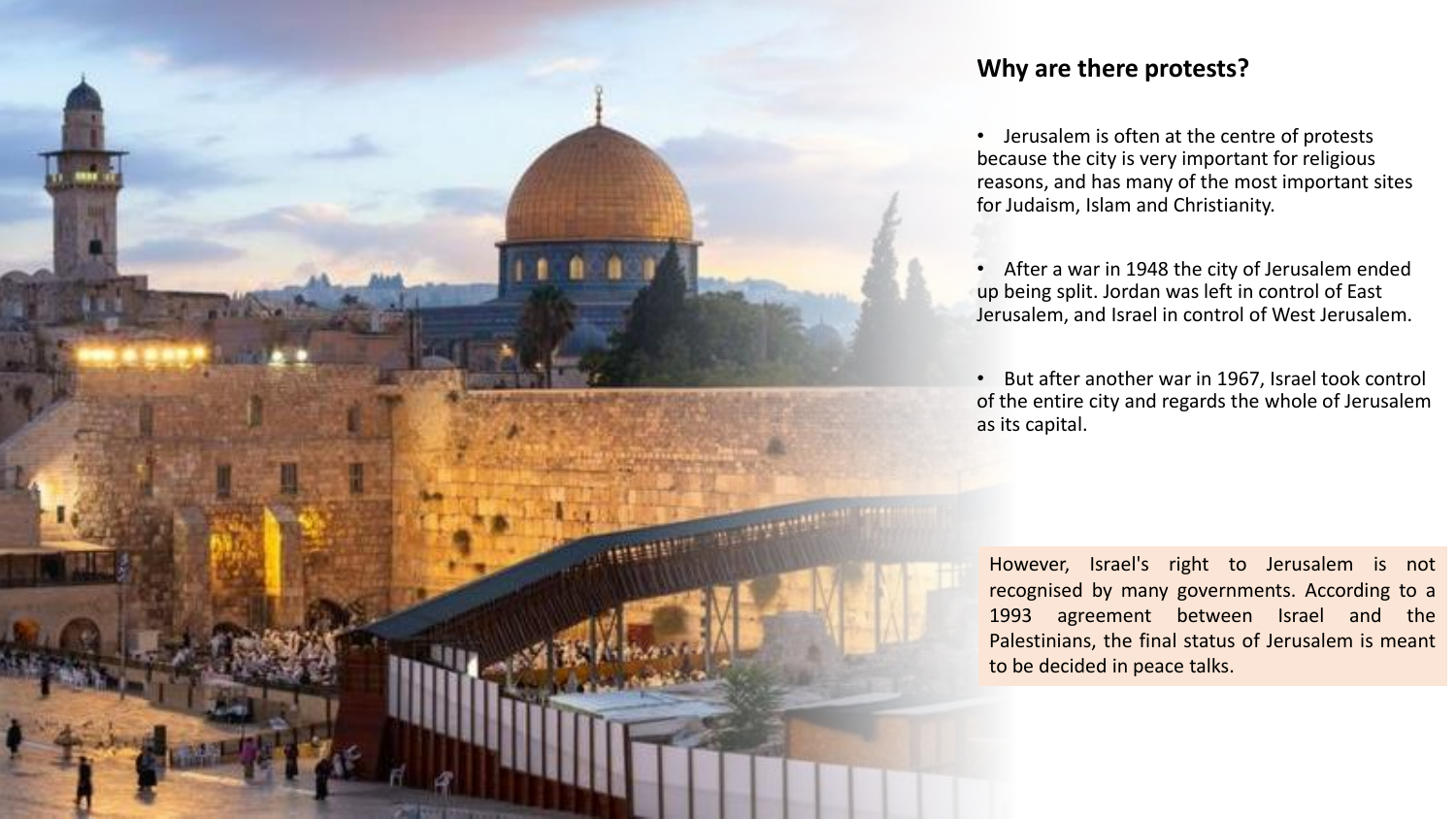

### **Why are there protests?**

• Jerusalem is often at the centre of protests because the city is very important for religious reasons, and has many of the most important sites for Judaism, Islam and Christianity.

• After a war in 1948 the city of Jerusalem ended up being split. Jordan was left in control of East Jerusalem, and Israel in control of West Jerusalem.

• But after another war in 1967, Israel took control of the entire city and regards the whole of Jerusalem as its capital.

However, Israel's right to Jerusalem is not recognised by many governments. According to a 1993 agreement between Israel and the Palestinians, the final status of Jerusalem is meant to be decided in peace talks.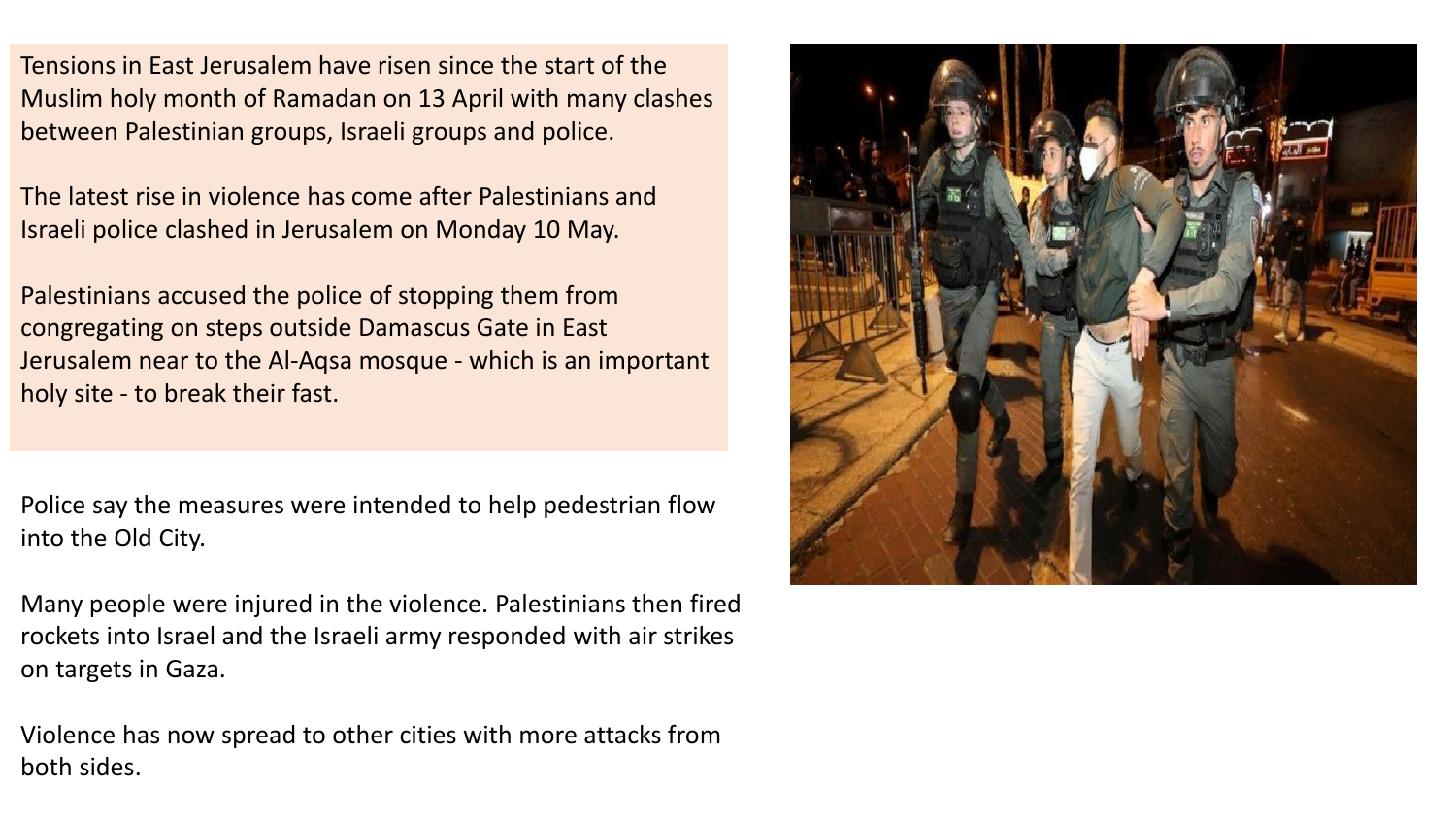Tensions in East Jerusalem have risen since the start of the Muslim holy month of Ramadan on 13 April with many clashes between Palestinian groups, Israeli groups and police.

The latest rise in violence has come after Palestinians and Israeli police clashed in Jerusalem on Monday 10 May.

Palestinians accused the police of stopping them from congregating on steps outside Damascus Gate in East Jerusalem near to the Al-Aqsa mosque - which is an important holy site - to break their fast.

Police say the measures were intended to help pedestrian flow into the Old City.

Many people were injured in the violence. Palestinians then fired rockets into Israel and the Israeli army responded with air strikes on targets in Gaza.

Violence has now spread to other cities with more attacks from both sides.

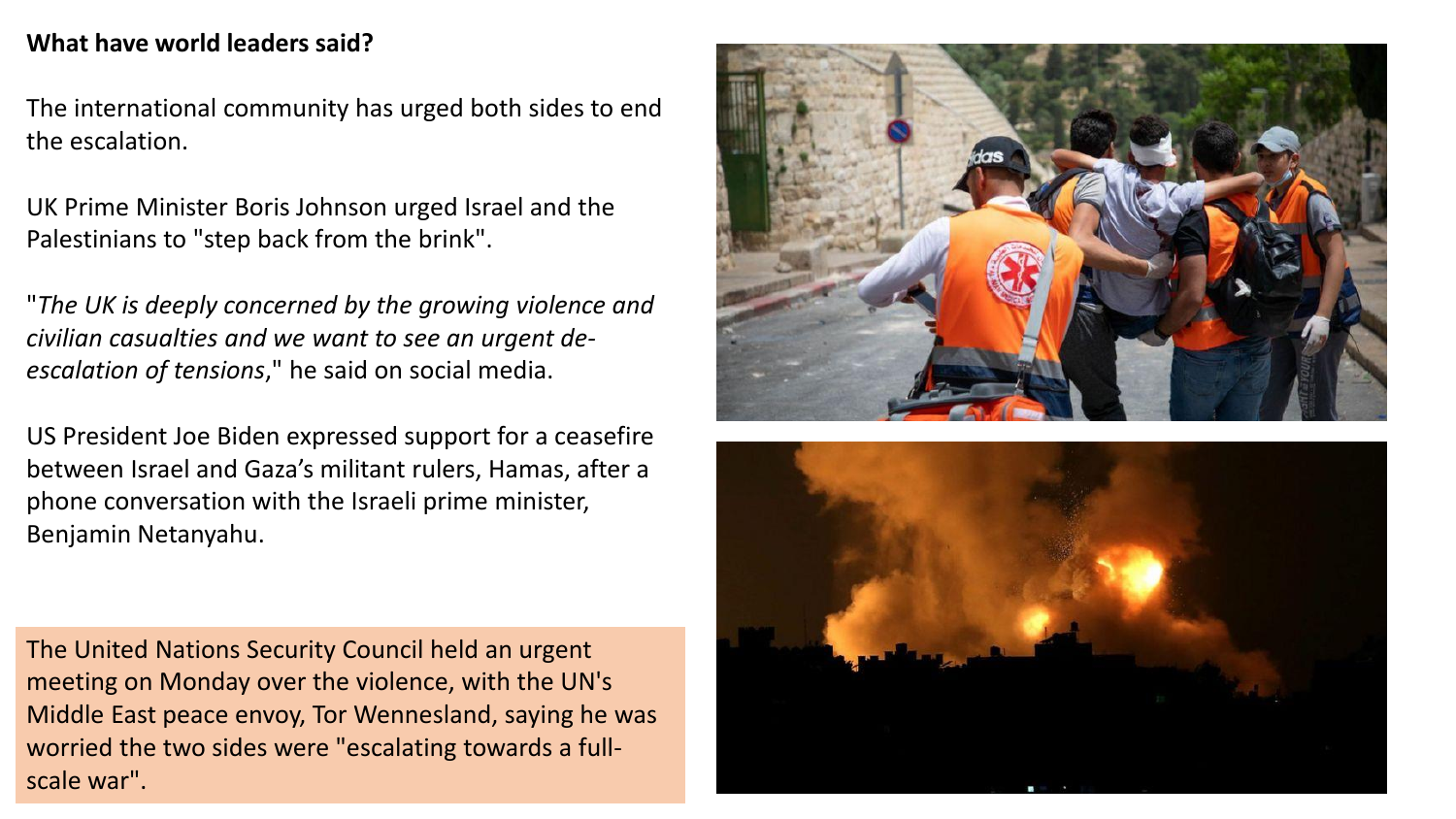#### **What have world leaders said?**

The international community has urged both sides to end the escalation.

UK Prime Minister Boris Johnson urged Israel and the Palestinians to "step back from the brink".

"*The UK is deeply concerned by the growing violence and civilian casualties and we want to see an urgent deescalation of tensions*," he said on social media.

US President Joe Biden expressed support for a ceasefire between Israel and Gaza's militant rulers, Hamas, after a phone conversation with the Israeli prime minister, Benjamin Netanyahu.

The United Nations Security Council held an urgent meeting on Monday over the violence, with the UN's Middle East peace envoy, Tor Wennesland, saying he was worried the two sides were "escalating towards a fullscale war".



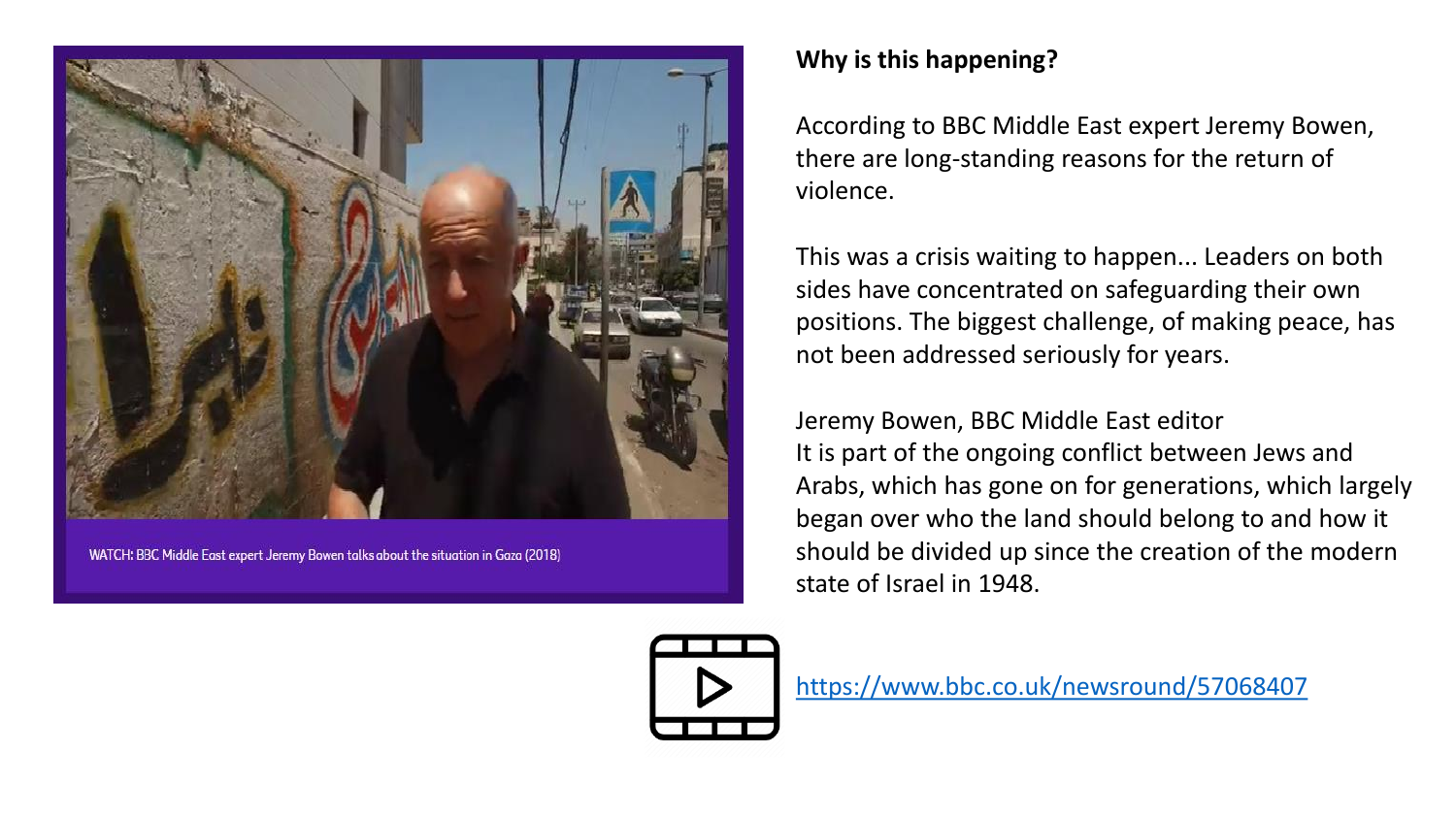

WATCH: BBC Middle East expert Jeremy Bowen talks about the situation in Gaza (2018)

#### **Why is this happening?**

According to BBC Middle East expert Jeremy Bowen, there are long-standing reasons for the return of violence.

This was a crisis waiting to happen... Leaders on both sides have concentrated on safeguarding their own positions. The biggest challenge, of making peace, has not been addressed seriously for years.

Jeremy Bowen, BBC Middle East editor It is part of the ongoing conflict between Jews and Arabs, which has gone on for generations, which largely began over who the land should belong to and how it should be divided up since the creation of the modern state of Israel in 1948.



<https://www.bbc.co.uk/newsround/57068407>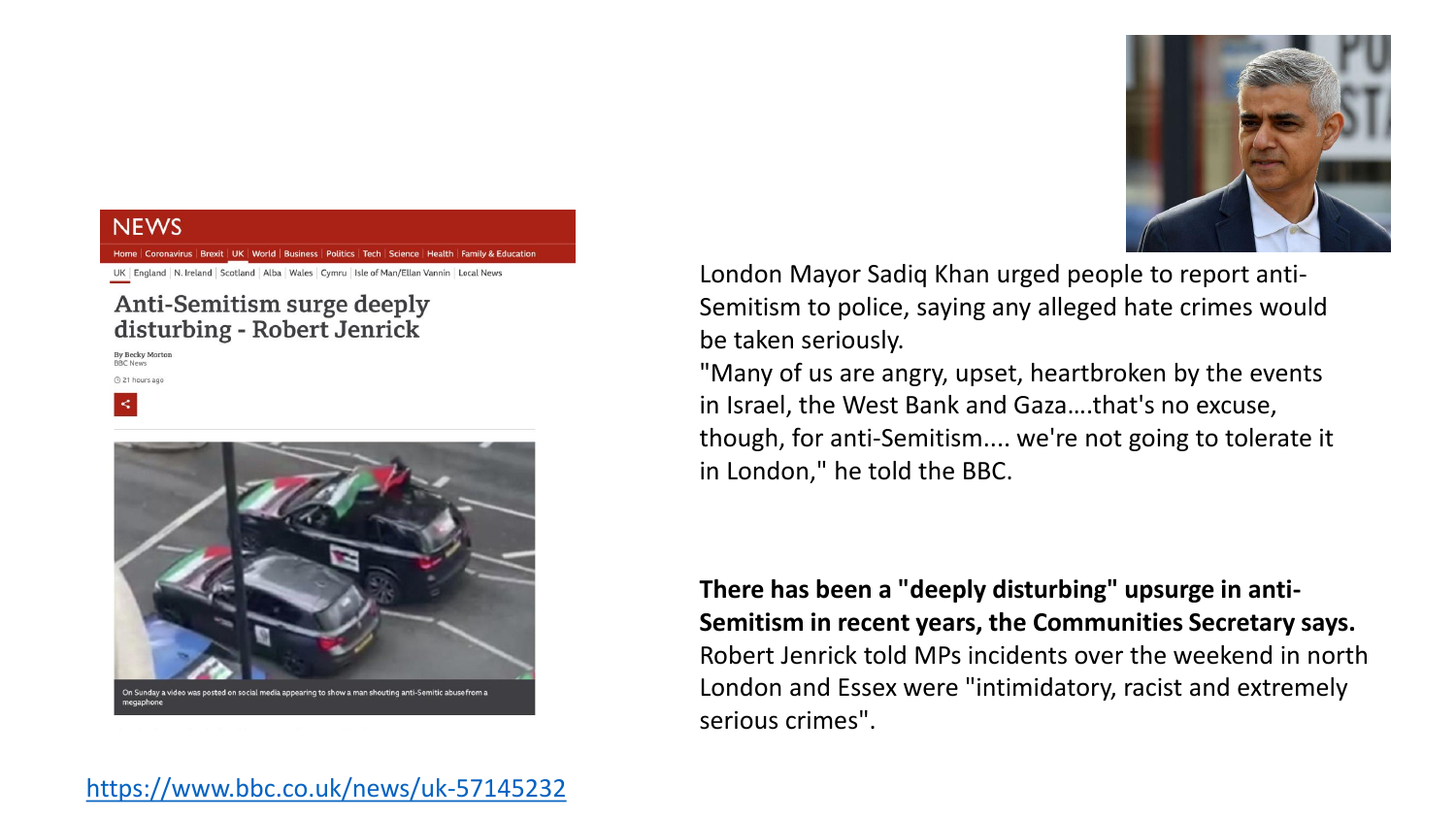#### **NEWS**

UK England N. Ireland Scotland Alba Wales Cymru Isle of Man/Ellan Vannin Local News

#### Anti-Semitism surge deeply disturbing - Robert Jenrick

**By Becky Morton BRC News** 

(21 hours ago





London Mayor Sadiq Khan urged people to report anti-Semitism to police, saying any alleged hate crimes would be taken seriously.

"Many of us are angry, upset, heartbroken by the events in Israel, the West Bank and Gaza….that's no excuse, though, for anti-Semitism.... we're not going to tolerate it in London," he told the BBC.

### **There has been a "deeply disturbing" upsurge in anti-Semitism in recent years, the Communities Secretary says.** Robert Jenrick told MPs incidents over the weekend in north London and Essex were "intimidatory, racist and extremely serious crimes".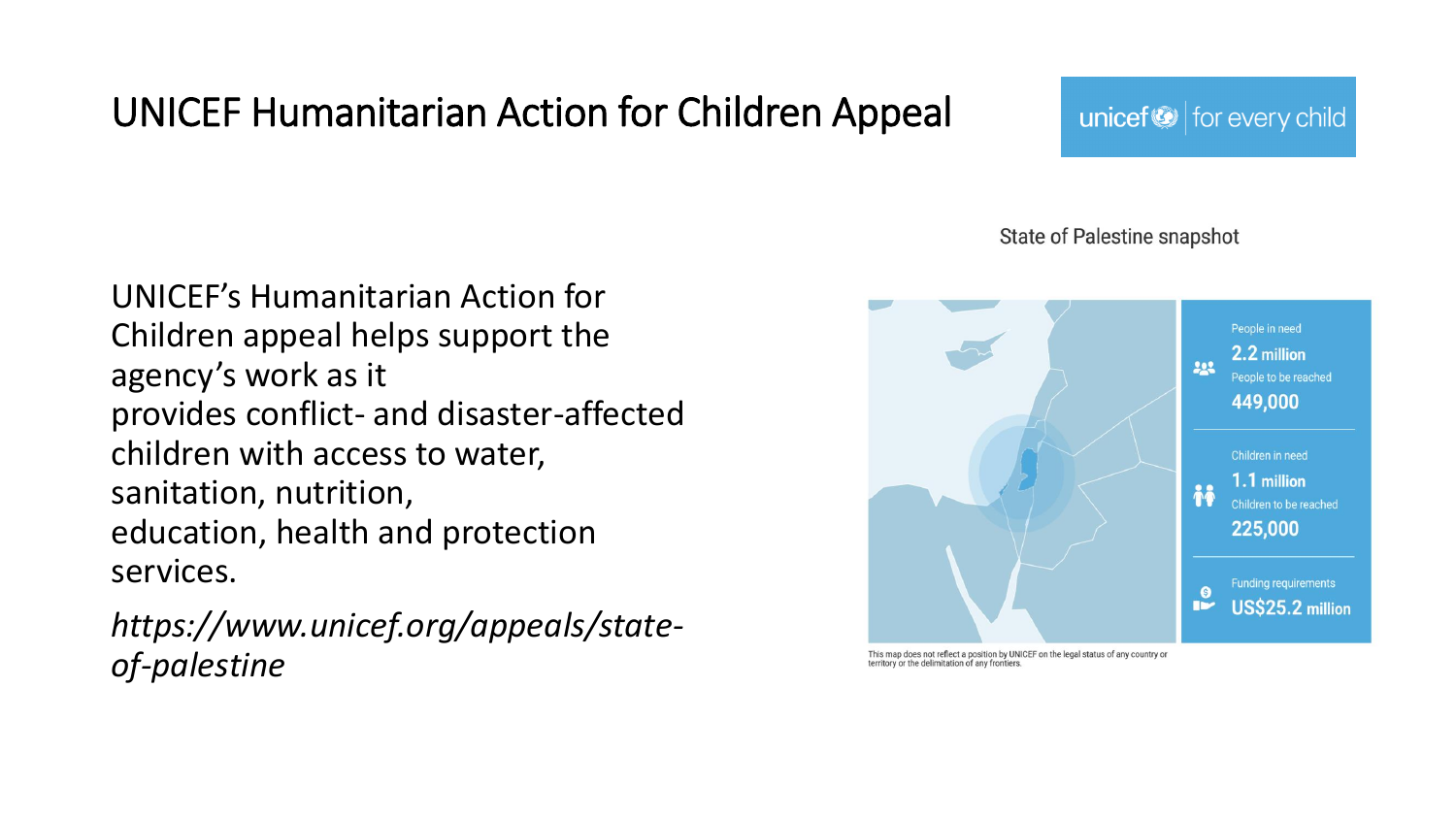# UNICEF Humanitarian Action for Children Appeal

UNICEF's Humanitarian Action for Children appeal helps support the agency's work as it provides conflict- and disaster-affected children with access to water, sanitation, nutrition, education, health and protection services.

*https://www.unicef.org/appeals/stateof-palestine*

unicef $\bigcirc$  for every child

#### **State of Palestine snapshot**



This map does not reflect a position by UNICEF on the legal status of any country or territory or the delimitation of any frontiers.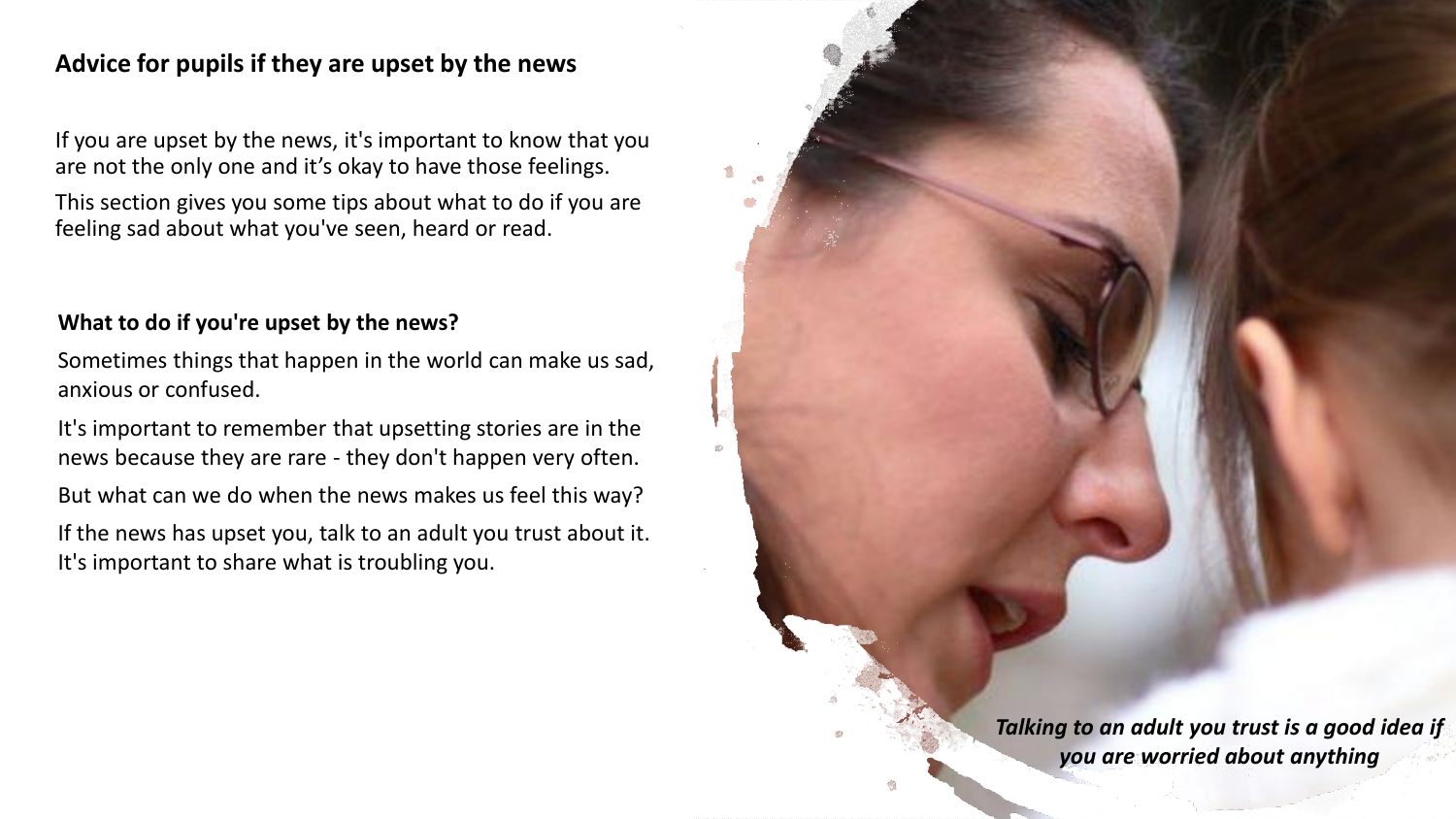#### **Advice for pupils if they are upset by the news**

If you are upset by the news, it's important to know that you are not the only one and it's okay to have those feelings.

This section gives you some tips about what to do if you are feeling sad about what you've seen, heard or read.

#### **What to do if you're upset by the news?**

Sometimes things that happen in the world can make us sad, anxious or confused.

It's important to remember that upsetting stories are in the news because they are rare - they don't happen very often. But what can we do when the news makes us feel this way? If the news has upset you, talk to an adult you trust about it.

It's important to share what is troubling you.

*Talking to an adult you trust is a good idea if you are worried about anything*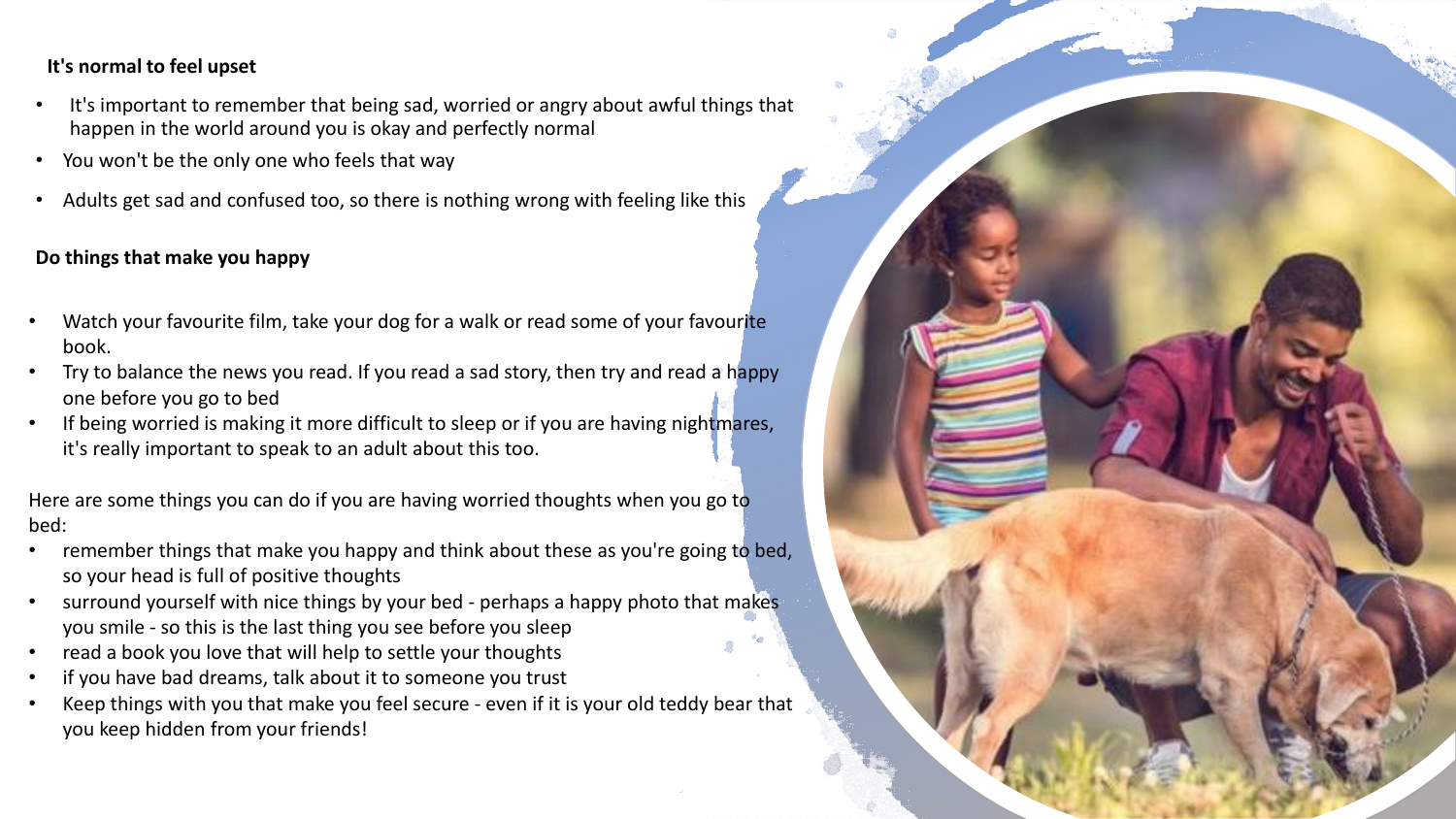#### **It's normal to feel upset**

- It's important to remember that being sad, worried or angry about awful things that happen in the world around you is okay and perfectly normal
- You won't be the only one who feels that way
- Adults get sad and confused too, so there is nothing wrong with feeling like this

#### **Do things that make you happy**

- Watch your favourite film, take your dog for a walk or read some of your favourite book.
- Try to balance the news you read. If you read a sad story, then try and read a happy one before you go to bed
- If being worried is making it more difficult to sleep or if you are having nightmares, it's really important to speak to an adult about this too.

Here are some things you can do if you are having worried thoughts when you go to bed:

- remember things that make you happy and think about these as you're going to bed, so your head is full of positive thoughts
- surround yourself with nice things by your bed perhaps a happy photo that makes you smile - so this is the last thing you see before you sleep
- read a book you love that will help to settle your thoughts
- if you have bad dreams, talk about it to someone you trust
- Keep things with you that make you feel secure even if it is your old teddy bear that you keep hidden from your friends!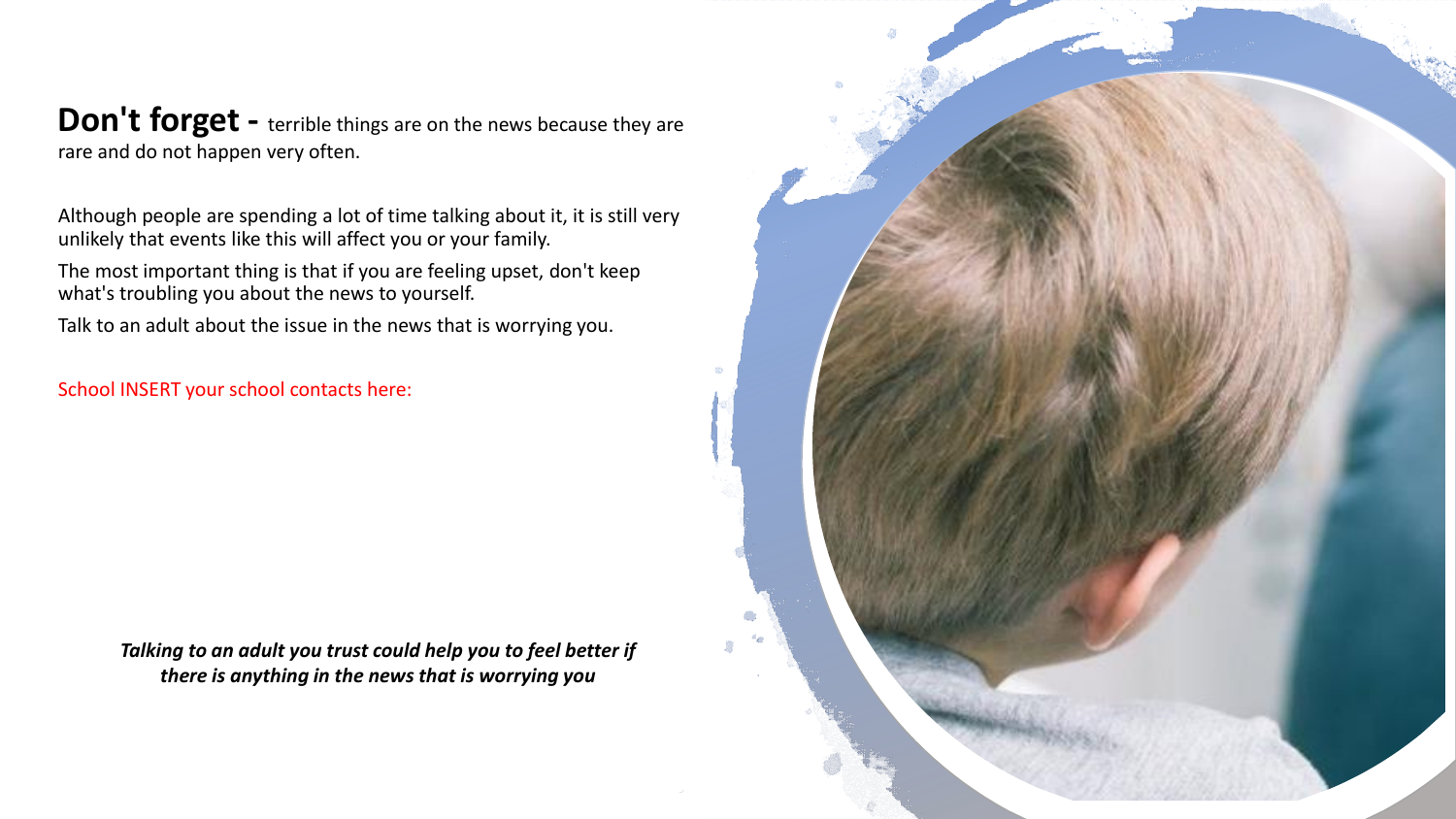**Don't forget -** terrible things are on the news because they are rare and do not happen very often.

Although people are spending a lot of time talking about it, it is still very unlikely that events like this will affect you or your family.

The most important thing is that if you are feeling upset, don't keep what's troubling you about the news to yourself.

Talk to an adult about the issue in the news that is worrying you.

School INSERT your school contacts here:

*Talking to an adult you trust could help you to feel better if there is anything in the news that is worrying you*

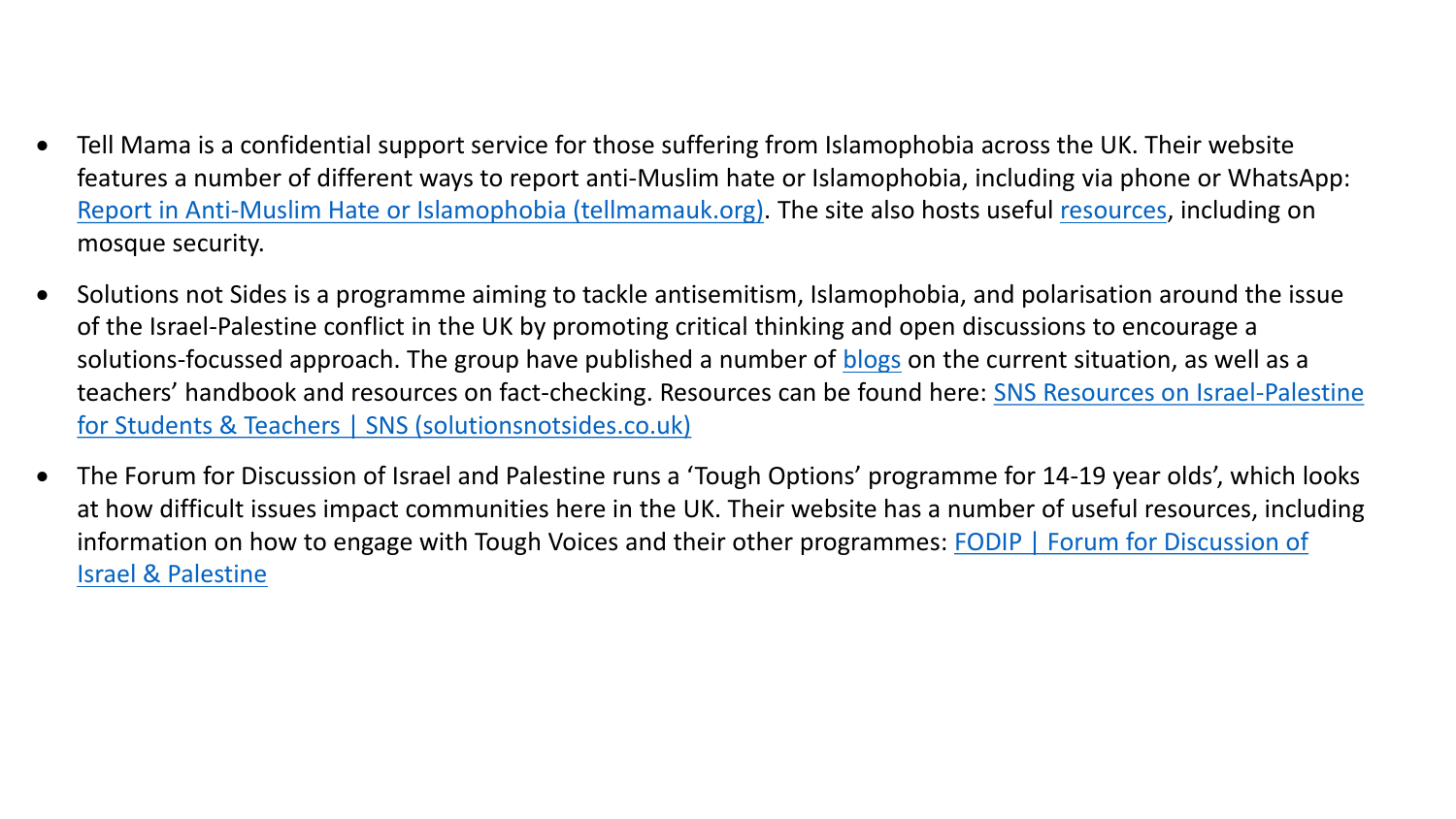- Tell Mama is a confidential support service for those suffering from Islamophobia across the UK. Their website features a number of different ways to report anti-Muslim hate or Islamophobia, including via phone or WhatsApp: [Report in Anti-Muslim Hate or Islamophobia \(tellmamauk.org\).](https://eur01.safelinks.protection.outlook.com/?url=https%3A%2F%2Ftellmamauk.org%2F&data=04%7C01%7CAyisha.Ali%40birmingham.gov.uk%7C502de8f64c5b4fe0905408d91948909f%7C699ace67d2e44bcdb303d2bbe2b9bbf1%7C0%7C0%7C637568621724480001%7CUnknown%7CTWFpbGZsb3d8eyJWIjoiMC4wLjAwMDAiLCJQIjoiV2luMzIiLCJBTiI6Ik1haWwiLCJXVCI6Mn0%3D%7C1000&sdata=Ick46%2FDyfNyFOAoPaYJG3kpz2cYa0N2aufFNUDXf4QU%3D&reserved=0) The site also hosts useful [resources,](https://eur01.safelinks.protection.outlook.com/?url=https%3A%2F%2Ftellmamauk.org%2Fnational-mosques-security-panel%2F&data=04%7C01%7CAyisha.Ali%40birmingham.gov.uk%7C502de8f64c5b4fe0905408d91948909f%7C699ace67d2e44bcdb303d2bbe2b9bbf1%7C0%7C0%7C637568621724489964%7CUnknown%7CTWFpbGZsb3d8eyJWIjoiMC4wLjAwMDAiLCJQIjoiV2luMzIiLCJBTiI6Ik1haWwiLCJXVCI6Mn0%3D%7C1000&sdata=m2ruCfc2v0SmiYxHO6JZ5JbnCDK3P0kd6tq%2BdbCF%2F8k%3D&reserved=0) including on mosque security.
- Solutions not Sides is a programme aiming to tackle antisemitism, Islamophobia, and polarisation around the issue of the Israel-Palestine conflict in the UK by promoting critical thinking and open discussions to encourage a solutions-focussed approach. The group have published a number of [blogs](https://eur01.safelinks.protection.outlook.com/?url=https%3A%2F%2Fsolutionsnotsides.co.uk%2Fnews-blog&data=04%7C01%7CAyisha.Ali%40birmingham.gov.uk%7C502de8f64c5b4fe0905408d91948909f%7C699ace67d2e44bcdb303d2bbe2b9bbf1%7C0%7C0%7C637568621724489964%7CUnknown%7CTWFpbGZsb3d8eyJWIjoiMC4wLjAwMDAiLCJQIjoiV2luMzIiLCJBTiI6Ik1haWwiLCJXVCI6Mn0%3D%7C1000&sdata=tFc5CZH4LAh2bTplMec08KOgmSWbPqDwVwggjjK2iNg%3D&reserved=0) on the current situation, as well as a teachers' handbook and resources on fact[-checking. Resources can be found here: SNS Resources on Israel-Palestine](https://eur01.safelinks.protection.outlook.com/?url=https%3A%2F%2Fsolutionsnotsides.co.uk%2Flearning-resources&data=04%7C01%7CAyisha.Ali%40birmingham.gov.uk%7C502de8f64c5b4fe0905408d91948909f%7C699ace67d2e44bcdb303d2bbe2b9bbf1%7C0%7C0%7C637568621724489964%7CUnknown%7CTWFpbGZsb3d8eyJWIjoiMC4wLjAwMDAiLCJQIjoiV2luMzIiLCJBTiI6Ik1haWwiLCJXVCI6Mn0%3D%7C1000&sdata=kY3E5ivLhM8mAFTjBFBQ1puqsCmAf8Iy9IWQOBc6bW0%3D&reserved=0)  for Students & Teachers | SNS (solutionsnotsides.co.uk)
- The Forum for Discussion of Israel and Palestine runs a 'Tough Options' programme for 14-19 year olds', which looks at how difficult issues impact communities here in the UK. Their website has a number of useful resources, including information on how to engage with Tough Voices and their other programmes: FODIP | Forum for Discussion of Israel & Palestine